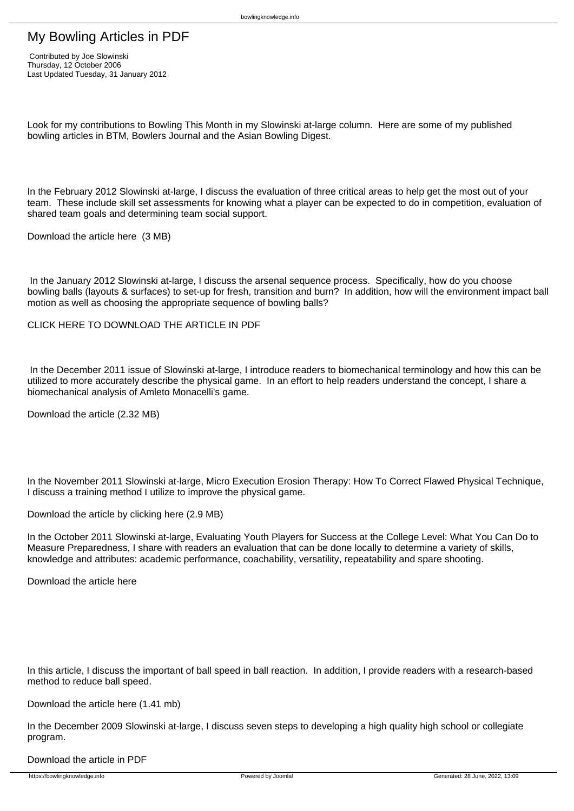# My Bowling Articles in PDF

Look for my contributions to Bowling This Month in my Slowinski at-large column. Here are some of my published bowling articles in BTM, Bowlers Journal and the Asian Bowling Digest.

bowlingknowledge.info

In the February 2012 Slowinski at-large, I discuss the evaluation of three critical areas to help get the most out of your team. These include skill set assessments for knowing what a player can be expected to do in competition, evaluation of shared team goals and determining team social support.

Download the article here (3 MB)

 In the January 2012 Slowinski at-large, I discuss the arsenal sequence process. Specifically, how do you choose bowling balls (layouts & surfaces) to set-up for fresh, transition and burn? In addition, how will the environment impact ball motion as well as choosing the appropriate sequence of bowling balls?

CLICK HERE TO DOWNLOAD THE ARTICLE IN PDE

 In the December 2011 issue of Slowinski at-large, I introduce readers to biomechanical terminology and how this can be utilized to more accurately describe the physical game. In an effort to help readers understand the concept, I share a biomechanical analysis of Amleto Monacelli's game.

Download the article (2.32 MB)

In the November 2011 Slowinski at-large, Micro Execution Erosion Therapy: How To Correct Flawed Physical Technique, I discuss a training method I utilize to improve the physical game.

Download the article by clicking here (2.9 MB)

In the October 2011 Slowinski at-large, Evaluating Youth Players for Success at the College Level: What You Can Do to Measure Preparedness, I share with readers an evaluation that can be done locally to determine a variety of skills, knowledge and attributes: academic performance, coachability, versatility, repeatability and spare shooting.

Download the article here

In this article, I discuss the important of ball speed in ball reaction. In addition, I provide readers with a research-based method to reduce ball speed.

## Download the article here (1.41 mb)

In the December 2009 Slowinski at-large, I discuss seven steps to developing a high quality high school or collegiate program.

Download the article in PDF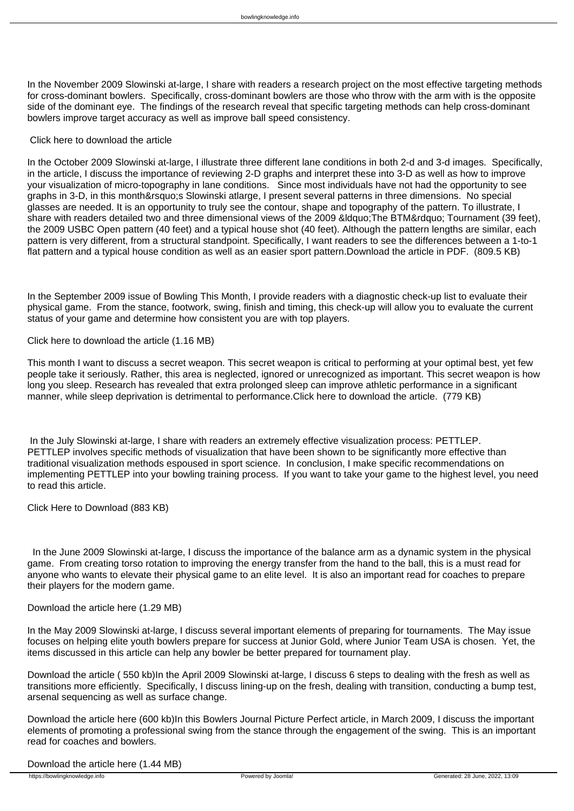In the November 2009 Slowinski at-large, I share with readers a research project on the most effective targeting methods for cross-dominant bowlers. Specifically, cross-dominant bowlers are those who throw with the arm with is the opposite side of the dominant eye. The findings of the research reveal that specific targeting methods can help cross-dominant bowlers improve target accuracy as well as improve ball speed consistency.

#### Click here to download the article

In the October 2009 Slowinski at-large, I illustrate three different lane conditions in both 2-d and 3-d images. Specifically, in the article, I discuss the importance of reviewing 2-D graphs and interpret these into 3-D as well as how to improve your visualization of micro-topography in lane conditions. Since most individuals have not had the opportunity to see graphs in 3-D, in this month' Slowinski atlarge, I present several patterns in three dimensions. No special glasses are needed. It is an opportunity to truly see the contour, shape and topography of the pattern. To illustrate, I share with readers detailed two and three dimensional views of the 2009 &ldquo. The BTM&rdquo: Tournament (39 feet), the 2009 USBC Open pattern (40 feet) and a typical house shot (40 feet). Although the pattern lengths are similar, each pattern is very different, from a structural standpoint. Specifically, I want readers to see the differences between a 1-to-1 flat pattern and a typical house condition as well as an easier sport pattern.Download the article in PDF. (809.5 KB)

In the September 2009 issue of Bowling This Month, I provide readers with a diagnostic check-up list to evaluate their physical game. From the stance, footwork, swing, finish and timing, this check-up will allow you to evaluate the current status of your game and determine how consistent you are with top players.

Click here to download the article (1.16 MB)

This month I want to discuss a secret weapon. This secret weapon is critical to performing at your optimal best, yet few people take it seriously. Rather, this area is neglected, ignored or unrecognized as important. This secret weapon is how long you sleep. Research has revealed that extra prolonged sleep can improve athletic performance in a significant manner, while sleep deprivation is detrimental to performance.Click here to download the article. (779 KB)

 In the July Slowinski at-large, I share with readers an extremely effective visualization process: PETTLEP. PETTLEP involves specific methods of visualization that have been shown to be significantly more effective than traditional visualization methods espoused in sport science. In conclusion, I make specific recommendations on implementing PETTLEP into your bowling training process. If you want to take your game to the highest level, you need to read this article.

Click Here to Download (883 KB)

 In the June 2009 Slowinski at-large, I discuss the importance of the balance arm as a dynamic system in the physical game. From creating torso rotation to improving the energy transfer from the hand to the ball, this is a must read for anyone who wants to elevate their physical game to an elite level. It is also an important read for coaches to prepare their players for the modern game.

### Download the article here (1.29 MB)

In the May 2009 Slowinski at-large, I discuss several important elements of preparing for tournaments. The May issue focuses on helping elite youth bowlers prepare for success at Junior Gold, where Junior Team USA is chosen. Yet, the items discussed in this article can help any bowler be better prepared for tournament play.

Download the article ( 550 kb)In the April 2009 Slowinski at-large, I discuss 6 steps to dealing with the fresh as well as transitions more efficiently. Specifically, I discuss lining-up on the fresh, dealing with transition, conducting a bump test, arsenal sequencing as well as surface change.

Download the article here (600 kb)In this Bowlers Journal Picture Perfect article, in March 2009, I discuss the important elements of promoting a professional swing from the stance through the engagement of the swing. This is an important read for coaches and bowlers.

Download the article here (1.44 MB)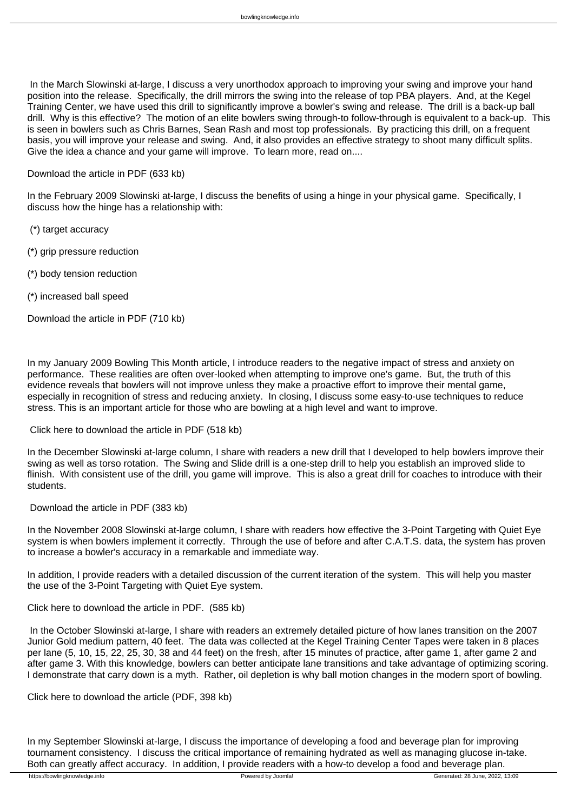In the March Slowinski at-large, I discuss a very unorthodox approach to improving your swing and improve your hand position into the release. Specifically, the drill mirrors the swing into the release of top PBA players. And, at the Kegel Training Center, we have used this drill to significantly improve a bowler's swing and release. The drill is a back-up ball drill. Why is this effective? The motion of an elite bowlers swing through-to follow-through is equivalent to a back-up. This is seen in bowlers such as Chris Barnes, Sean Rash and most top professionals. By practicing this drill, on a frequent basis, you will improve your release and swing. And, it also provides an effective strategy to shoot many difficult splits. Give the idea a chance and your game will improve. To learn more, read on....

## Download the article in PDF (633 kb)

In the February 2009 Slowinski at-large, I discuss the benefits of using a hinge in your physical game. Specifically, I discuss how the hinge has a relationship with:

(\*) target accuracy

- (\*) grip pressure reduction
- (\*) body tension reduction
- (\*) increased ball speed

Download the article in PDF (710 kb)

In my January 2009 Bowling This Month article, I introduce readers to the negative impact of stress and anxiety on performance. These realities are often over-looked when attempting to improve one's game. But, the truth of this evidence reveals that bowlers will not improve unless they make a proactive effort to improve their mental game, especially in recognition of stress and reducing anxiety. In closing, I discuss some easy-to-use techniques to reduce stress. This is an important article for those who are bowling at a high level and want to improve.

### Click here to download the article in PDF (518 kb)

In the December Slowinski at-large column, I share with readers a new drill that I developed to help bowlers improve their swing as well as torso rotation. The Swing and Slide drill is a one-step drill to help you establish an improved slide to flinish. With consistent use of the drill, you game will improve. This is also a great drill for coaches to introduce with their students.

Download the article in PDF (383 kb)

In the November 2008 Slowinski at-large column, I share with readers how effective the 3-Point Targeting with Quiet Eye system is when bowlers implement it correctly. Through the use of before and after C.A.T.S. data, the system has proven to increase a bowler's accuracy in a remarkable and immediate way.

In addition, I provide readers with a detailed discussion of the current iteration of the system. This will help you master the use of the 3-Point Targeting with Quiet Eye system.

Click here to download the article in PDF. (585 kb)

 In the October Slowinski at-large, I share with readers an extremely detailed picture of how lanes transition on the 2007 Junior Gold medium pattern, 40 feet. The data was collected at the Kegel Training Center Tapes were taken in 8 places per lane (5, 10, 15, 22, 25, 30, 38 and 44 feet) on the fresh, after 15 minutes of practice, after game 1, after game 2 and after game 3. With this knowledge, bowlers can better anticipate lane transitions and take advantage of optimizing scoring. I demonstrate that carry down is a myth. Rather, oil depletion is why ball motion changes in the modern sport of bowling.

Click here to download the article (PDF, 398 kb)

In my September Slowinski at-large, I discuss the importance of developing a food and beverage plan for improving tournament consistency. I discuss the critical importance of remaining hydrated as well as managing glucose in-take. Both can greatly affect accuracy. In addition, I provide readers with a how-to develop a food and beverage plan.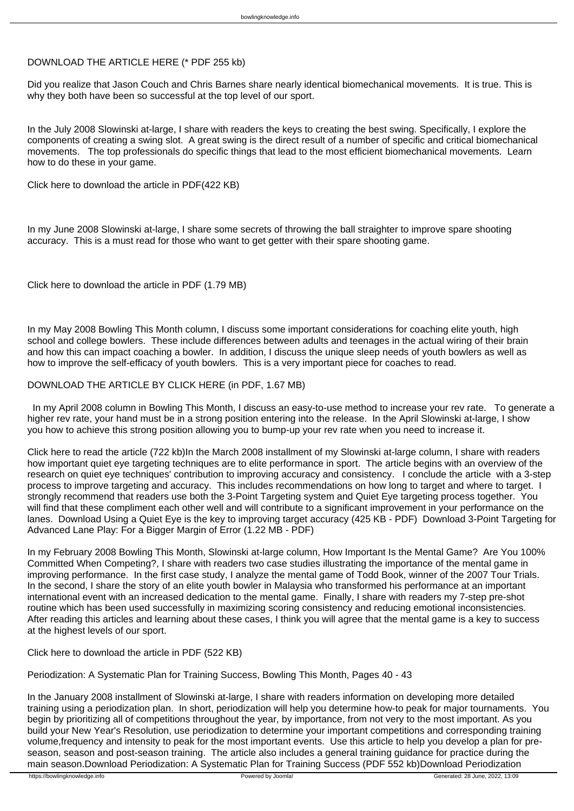## DOWNLOAD THE ARTICLE HERE (\* PDF 255 kb)

Did you realize that Jason Couch and Chris Barnes share nearly identical biomechanical movements. It is true. This is why they both have been so successful at the top level of our sport.

In the July 2008 Slowinski at-large, I share with readers the keys to creating the best swing. Specifically, I explore the components of creating a swing slot. A great swing is the direct result of a number of specific and critical biomechanical movements. The top professionals do specific things that lead to the most efficient biomechanical movements. Learn how to do these in your game.

Click here to download the article in PDF(422 KB)

In my June 2008 Slowinski at-large, I share some secrets of throwing the ball straighter to improve spare shooting accuracy. This is a must read for those who want to get getter with their spare shooting game.

Click here to download the article in PDF (1.79 MB)

In my May 2008 Bowling This Month column, I discuss some important considerations for coaching elite youth, high school and college bowlers. These include differences between adults and teenages in the actual wiring of their brain and how this can impact coaching a bowler. In addition, I discuss the unique sleep needs of youth bowlers as well as how to improve the self-efficacy of youth bowlers. This is a very important piece for coaches to read.

## DOWNLOAD THE ARTICLE BY CLICK HERE (in PDF, 1.67 MB)

 In my April 2008 column in Bowling This Month, I discuss an easy-to-use method to increase your rev rate. To generate a higher rev rate, your hand must be in a strong position entering into the release. In the April Slowinski at-large, I show you how to achieve this strong position allowing you to bump-up your rev rate when you need to increase it.

Click here to read the article (722 kb)In the March 2008 installment of my Slowinski at-large column, I share with readers how important quiet eye targeting techniques are to elite performance in sport. The article begins with an overview of the research on quiet eye techniques' contribution to improving accuracy and consistency. I conclude the article with a 3-step process to improve targeting and accuracy. This includes recommendations on how long to target and where to target. I strongly recommend that readers use both the 3-Point Targeting system and Quiet Eye targeting process together. You will find that these compliment each other well and will contribute to a significant improvement in your performance on the lanes. Download Using a Quiet Eye is the key to improving target accuracy (425 KB - PDF) Download 3-Point Targeting for Advanced Lane Play: For a Bigger Margin of Error (1.22 MB - PDF)

In my February 2008 Bowling This Month, Slowinski at-large column, How Important Is the Mental Game? Are You 100% Committed When Competing?, I share with readers two case studies illustrating the importance of the mental game in improving performance. In the first case study, I analyze the mental game of Todd Book, winner of the 2007 Tour Trials. In the second, I share the story of an elite youth bowler in Malaysia who transformed his performance at an important international event with an increased dedication to the mental game. Finally, I share with readers my 7-step pre-shot routine which has been used successfully in maximizing scoring consistency and reducing emotional inconsistencies. After reading this articles and learning about these cases, I think you will agree that the mental game is a key to success at the highest levels of our sport.

Click here to download the article in PDF (522 KB)

Periodization: A Systematic Plan for Training Success, Bowling This Month, Pages 40 - 43

In the January 2008 installment of Slowinski at-large, I share with readers information on developing more detailed training using a periodization plan. In short, periodization will help you determine how-to peak for major tournaments. You begin by prioritizing all of competitions throughout the year, by importance, from not very to the most important. As you build your New Year's Resolution, use periodization to determine your important competitions and corresponding training volume,frequency and intensity to peak for the most important events. Use this article to help you develop a plan for preseason, season and post-season training. The article also includes a general training guidance for practice during the main season.Download Periodization: A Systematic Plan for Training Success (PDF 552 kb)Download Periodization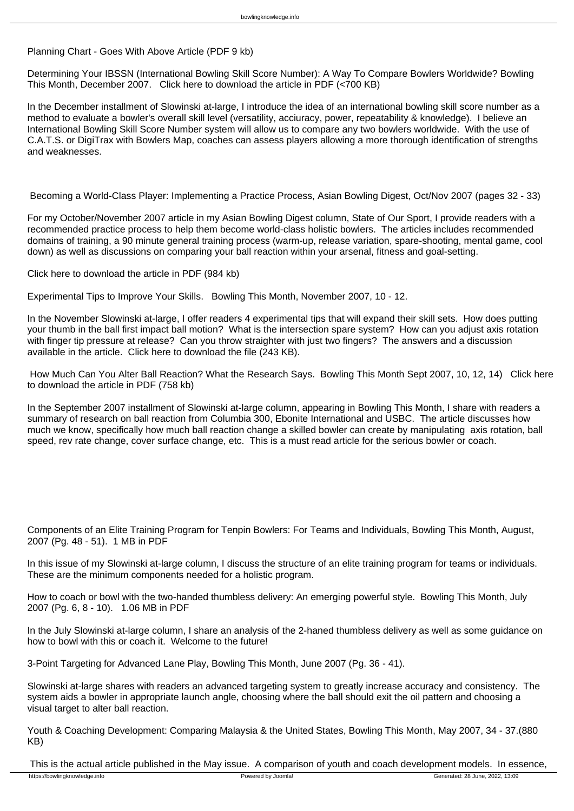## Planning Chart - Goes With Above Article (PDF 9 kb)

Determining Your IBSSN (International Bowling Skill Score Number): A Way To Compare Bowlers Worldwide? Bowling This Month, December 2007. Click here to download the article in PDF (<700 KB)

In the December installment of Slowinski at-large, I introduce the idea of an international bowling skill score number as a method to evaluate a bowler's overall skill level (versatility, acciuracy, power, repeatability & knowledge). I believe an International Bowling Skill Score Number system will allow us to compare any two bowlers worldwide. With the use of C.A.T.S. or DigiTrax with Bowlers Map, coaches can assess players allowing a more thorough identification of strengths and weaknesses.

Becoming a World-Class Player: Implementing a Practice Process, Asian Bowling Digest, Oct/Nov 2007 (pages 32 - 33)

For my October/November 2007 article in my Asian Bowling Digest column, State of Our Sport, I provide readers with a recommended practice process to help them become world-class holistic bowlers. The articles includes recommended domains of training, a 90 minute general training process (warm-up, release variation, spare-shooting, mental game, cool down) as well as discussions on comparing your ball reaction within your arsenal, fitness and goal-setting.

Click here to download the article in PDF (984 kb)

Experimental Tips to Improve Your Skills. Bowling This Month, November 2007, 10 - 12.

In the November Slowinski at-large, I offer readers 4 experimental tips that will expand their skill sets. How does putting your thumb in the ball first impact ball motion? What is the intersection spare system? How can you adjust axis rotation with finger tip pressure at release? Can you throw straighter with just two fingers? The answers and a discussion available in the article. Click here to download the file (243 KB).

 How Much Can You Alter Ball Reaction? What the Research Says. Bowling This Month Sept 2007, 10, 12, 14) Click here to download the article in PDF (758 kb)

In the September 2007 installment of Slowinski at-large column, appearing in Bowling This Month, I share with readers a summary of research on ball reaction from Columbia 300, Ebonite International and USBC. The article discusses how much we know, specifically how much ball reaction change a skilled bowler can create by manipulating axis rotation, ball speed, rev rate change, cover surface change, etc. This is a must read article for the serious bowler or coach.

Components of an Elite Training Program for Tenpin Bowlers: For Teams and Individuals, Bowling This Month, August, 2007 (Pg. 48 - 51). 1 MB in PDF

In this issue of my Slowinski at-large column, I discuss the structure of an elite training program for teams or individuals. These are the minimum components needed for a holistic program.

How to coach or bowl with the two-handed thumbless delivery: An emerging powerful style. Bowling This Month, July 2007 (Pg. 6, 8 - 10). 1.06 MB in PDF

In the July Slowinski at-large column, I share an analysis of the 2-haned thumbless delivery as well as some guidance on how to bowl with this or coach it. Welcome to the future!

3-Point Targeting for Advanced Lane Play, Bowling This Month, June 2007 (Pg. 36 - 41).

Slowinski at-large shares with readers an advanced targeting system to greatly increase accuracy and consistency. The system aids a bowler in appropriate launch angle, choosing where the ball should exit the oil pattern and choosing a visual target to alter ball reaction.

Youth & Coaching Development: Comparing Malaysia & the United States, Bowling This Month, May 2007, 34 - 37.(880 KB)

This is the actual article published in the May issue. A comparison of youth and coach development models. In essence,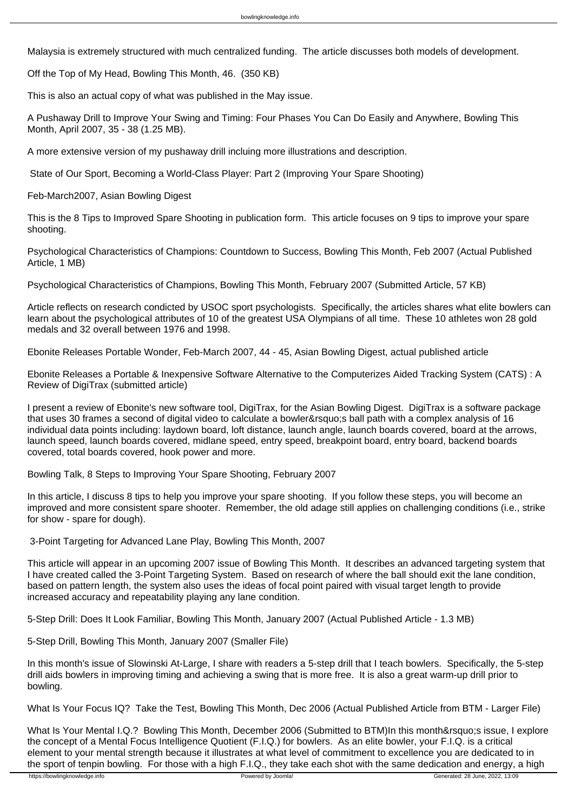Malaysia is extremely structured with much centralized funding. The article discusses both models of development.

Off the Top of My Head, Bowling This Month, 46. (350 KB)

This is also an actual copy of what was published in the May issue.

A Pushaway Drill to Improve Your Swing and Timing: Four Phases You Can Do Easily and Anywhere, Bowling This Month, April 2007, 35 - 38 (1.25 MB).

A more extensive version of my pushaway drill incluing more illustrations and description.

State of Our Sport, Becoming a World-Class Player: Part 2 (Improving Your Spare Shooting)

Feb-March2007, Asian Bowling Digest

This is the 8 Tips to Improved Spare Shooting in publication form. This article focuses on 9 tips to improve your spare shooting.

Psychological Characteristics of Champions: Countdown to Success, Bowling This Month, Feb 2007 (Actual Published Article, 1 MB)

Psychological Characteristics of Champions, Bowling This Month, February 2007 (Submitted Article, 57 KB)

Article reflects on research condicted by USOC sport psychologists. Specifically, the articles shares what elite bowlers can learn about the psychological attributes of 10 of the greatest USA Olympians of all time. These 10 athletes won 28 gold medals and 32 overall between 1976 and 1998.

Ebonite Releases Portable Wonder, Feb-March 2007, 44 - 45, Asian Bowling Digest, actual published article

Ebonite Releases a Portable & Inexpensive Software Alternative to the Computerizes Aided Tracking System (CATS) : A Review of DigiTrax (submitted article)

I present a review of Ebonite's new software tool, DigiTrax, for the Asian Bowling Digest. DigiTrax is a software package that uses 30 frames a second of digital video to calculate a bowler&rsquo:s ball path with a complex analysis of 16 individual data points including: laydown board, loft distance, launch angle, launch boards covered, board at the arrows, launch speed, launch boards covered, midlane speed, entry speed, breakpoint board, entry board, backend boards covered, total boards covered, hook power and more.

Bowling Talk, 8 Steps to Improving Your Spare Shooting, February 2007

In this article, I discuss 8 tips to help you improve your spare shooting. If you follow these steps, you will become an improved and more consistent spare shooter. Remember, the old adage still applies on challenging conditions (i.e., strike for show - spare for dough).

3-Point Targeting for Advanced Lane Play, Bowling This Month, 2007

This article will appear in an upcoming 2007 issue of Bowling This Month. It describes an advanced targeting system that I have created called the 3-Point Targeting System. Based on research of where the ball should exit the lane condition, based on pattern length, the system also uses the ideas of focal point paired with visual target length to provide increased accuracy and repeatability playing any lane condition.

5-Step Drill: Does It Look Familiar, Bowling This Month, January 2007 (Actual Published Article - 1.3 MB)

5-Step Drill, Bowling This Month, January 2007 (Smaller File)

In this month's issue of Slowinski At-Large, I share with readers a 5-step drill that I teach bowlers. Specifically, the 5-step drill aids bowlers in improving timing and achieving a swing that is more free. It is also a great warm-up drill prior to bowling.

What Is Your Focus IQ? Take the Test, Bowling This Month, Dec 2006 (Actual Published Article from BTM - Larger File)

What Is Your Mental I.Q.? Bowling This Month, December 2006 (Submitted to BTM)In this month's issue, I explore the concept of a Mental Focus Intelligence Quotient (F.I.Q.) for bowlers. As an elite bowler, your F.I.Q. is a critical element to your mental strength because it illustrates at what level of commitment to excellence you are dedicated to in the sport of tenpin bowling. For those with a high F.I.Q., they take each shot with the same dedication and energy, a high